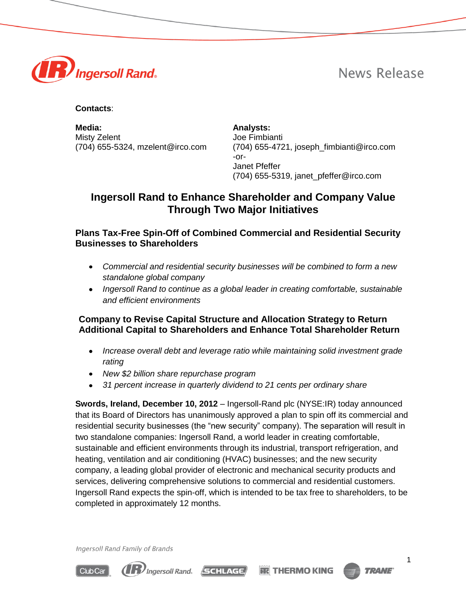

#### **Contacts**:

**Media: Analysts:** Misty Zelent **Misty** Zelent **Accord Accord 2011** 

(704) 655-5324, mzelent@irco.com (704) 655-4721, joseph\_fimbianti@irco.com -or-Janet Pfeffer (704) 655-5319, janet\_pfeffer@irco.com

## **Ingersoll Rand to Enhance Shareholder and Company Value Through Two Major Initiatives**

## **Plans Tax-Free Spin-Off of Combined Commercial and Residential Security Businesses to Shareholders**

- *Commercial and residential security businesses will be combined to form a new standalone global company*
- *Ingersoll Rand to continue as a global leader in creating comfortable, sustainable and efficient environments*

## **Company to Revise Capital Structure and Allocation Strategy to Return Additional Capital to Shareholders and Enhance Total Shareholder Return**

- *Increase overall debt and leverage ratio while maintaining solid investment grade rating*
- *New \$2 billion share repurchase program*
- *31 percent increase in quarterly dividend to 21 cents per ordinary share*

**Swords, Ireland, December 10, 2012** – Ingersoll-Rand plc (NYSE:IR) today announced that its Board of Directors has unanimously approved a plan to spin off its commercial and residential security businesses (the "new security" company). The separation will result in two standalone companies: Ingersoll Rand, a world leader in creating comfortable, sustainable and efficient environments through its industrial, transport refrigeration, and heating, ventilation and air conditioning (HVAC) businesses; and the new security company, a leading global provider of electronic and mechanical security products and services, delivering comprehensive solutions to commercial and residential customers. Ingersoll Rand expects the spin-off, which is intended to be tax free to shareholders, to be completed in approximately 12 months.

**Ingersoll Rand Family of Brands** 



<sup>,</sup><br>Inaersoll Rand.





1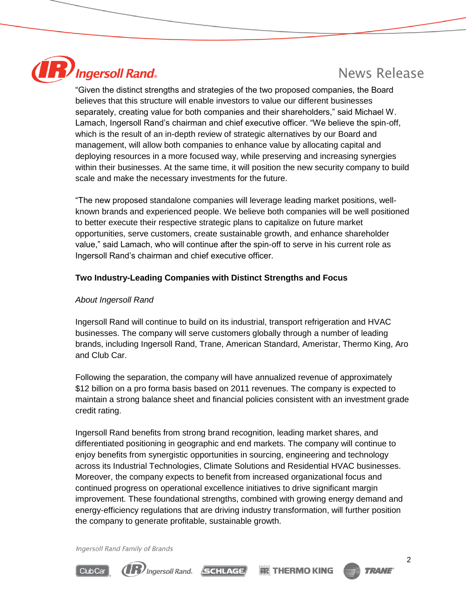

―Given the distinct strengths and strategies of the two proposed companies, the Board believes that this structure will enable investors to value our different businesses separately, creating value for both companies and their shareholders," said Michael W. Lamach, Ingersoll Rand's chairman and chief executive officer. "We believe the spin-off, which is the result of an in-depth review of strategic alternatives by our Board and management, will allow both companies to enhance value by allocating capital and deploying resources in a more focused way, while preserving and increasing synergies within their businesses. At the same time, it will position the new security company to build scale and make the necessary investments for the future.

―The new proposed standalone companies will leverage leading market positions, wellknown brands and experienced people. We believe both companies will be well positioned to better execute their respective strategic plans to capitalize on future market opportunities, serve customers, create sustainable growth, and enhance shareholder value," said Lamach, who will continue after the spin-off to serve in his current role as Ingersoll Rand's chairman and chief executive officer.

## **Two Industry-Leading Companies with Distinct Strengths and Focus**

#### *About Ingersoll Rand*

Ingersoll Rand will continue to build on its industrial, transport refrigeration and HVAC businesses. The company will serve customers globally through a number of leading brands, including Ingersoll Rand, Trane, American Standard, Ameristar, Thermo King, Aro and Club Car.

Following the separation, the company will have annualized revenue of approximately \$12 billion on a pro forma basis based on 2011 revenues. The company is expected to maintain a strong balance sheet and financial policies consistent with an investment grade credit rating.

Ingersoll Rand benefits from strong brand recognition, leading market shares, and differentiated positioning in geographic and end markets. The company will continue to enjoy benefits from synergistic opportunities in sourcing, engineering and technology across its Industrial Technologies, Climate Solutions and Residential HVAC businesses. Moreover, the company expects to benefit from increased organizational focus and continued progress on operational excellence initiatives to drive significant margin improvement. These foundational strengths, combined with growing energy demand and energy-efficiency regulations that are driving industry transformation, will further position the company to generate profitable, sustainable growth.

**Ingersoll Rand Family of Brands** 







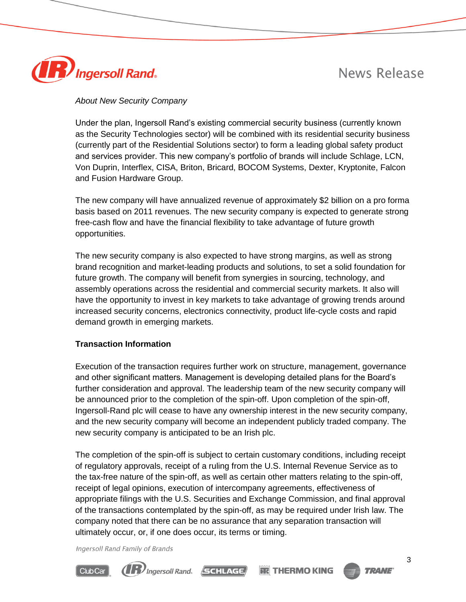

#### *About New Security Company*

Under the plan, Ingersoll Rand's existing commercial security business (currently known as the Security Technologies sector) will be combined with its residential security business (currently part of the Residential Solutions sector) to form a leading global safety product and services provider. This new company's portfolio of brands will include Schlage, LCN, Von Duprin, Interflex, CISA, Briton, Bricard, BOCOM Systems, Dexter, Kryptonite, Falcon and Fusion Hardware Group.

The new company will have annualized revenue of approximately \$2 billion on a pro forma basis based on 2011 revenues. The new security company is expected to generate strong free-cash flow and have the financial flexibility to take advantage of future growth opportunities.

The new security company is also expected to have strong margins, as well as strong brand recognition and market-leading products and solutions, to set a solid foundation for future growth. The company will benefit from synergies in sourcing, technology, and assembly operations across the residential and commercial security markets. It also will have the opportunity to invest in key markets to take advantage of growing trends around increased security concerns, electronics connectivity, product life-cycle costs and rapid demand growth in emerging markets.

## **Transaction Information**

Execution of the transaction requires further work on structure, management, governance and other significant matters. Management is developing detailed plans for the Board's further consideration and approval. The leadership team of the new security company will be announced prior to the completion of the spin-off. Upon completion of the spin-off, Ingersoll-Rand plc will cease to have any ownership interest in the new security company, and the new security company will become an independent publicly traded company. The new security company is anticipated to be an Irish plc.

The completion of the spin-off is subject to certain customary conditions, including receipt of regulatory approvals, receipt of a ruling from the U.S. Internal Revenue Service as to the tax-free nature of the spin-off, as well as certain other matters relating to the spin-off, receipt of legal opinions, execution of intercompany agreements, effectiveness of appropriate filings with the U.S. Securities and Exchange Commission, and final approval of the transactions contemplated by the spin-off, as may be required under Irish law. The company noted that there can be no assurance that any separation transaction will ultimately occur, or, if one does occur, its terms or timing.

**Ingersoll Rand Family of Brands** 







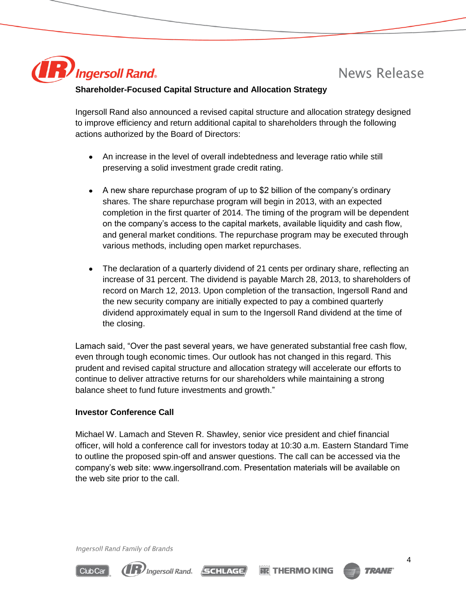

#### **Shareholder-Focused Capital Structure and Allocation Strategy**

Ingersoll Rand also announced a revised capital structure and allocation strategy designed to improve efficiency and return additional capital to shareholders through the following actions authorized by the Board of Directors:

- An increase in the level of overall indebtedness and leverage ratio while still preserving a solid investment grade credit rating.
- A new share repurchase program of up to \$2 billion of the company's ordinary shares. The share repurchase program will begin in 2013, with an expected completion in the first quarter of 2014. The timing of the program will be dependent on the company's access to the capital markets, available liquidity and cash flow, and general market conditions. The repurchase program may be executed through various methods, including open market repurchases.
- The declaration of a quarterly dividend of 21 cents per ordinary share, reflecting an increase of 31 percent. The dividend is payable March 28, 2013, to shareholders of record on March 12, 2013. Upon completion of the transaction, Ingersoll Rand and the new security company are initially expected to pay a combined quarterly dividend approximately equal in sum to the Ingersoll Rand dividend at the time of the closing.

Lamach said, "Over the past several years, we have generated substantial free cash flow, even through tough economic times. Our outlook has not changed in this regard. This prudent and revised capital structure and allocation strategy will accelerate our efforts to continue to deliver attractive returns for our shareholders while maintaining a strong balance sheet to fund future investments and growth."

#### **Investor Conference Call**

Michael W. Lamach and Steven R. Shawley, senior vice president and chief financial officer, will hold a conference call for investors today at 10:30 a.m. Eastern Standard Time to outline the proposed spin-off and answer questions. The call can be accessed via the company's web site: www.ingersollrand.com. Presentation materials will be available on the web site prior to the call.

**Ingersoll Rand Family of Brands** 



,<br>Inaersoll Rand.



**FR THERMO KING** 



TRANE<sup>®</sup>